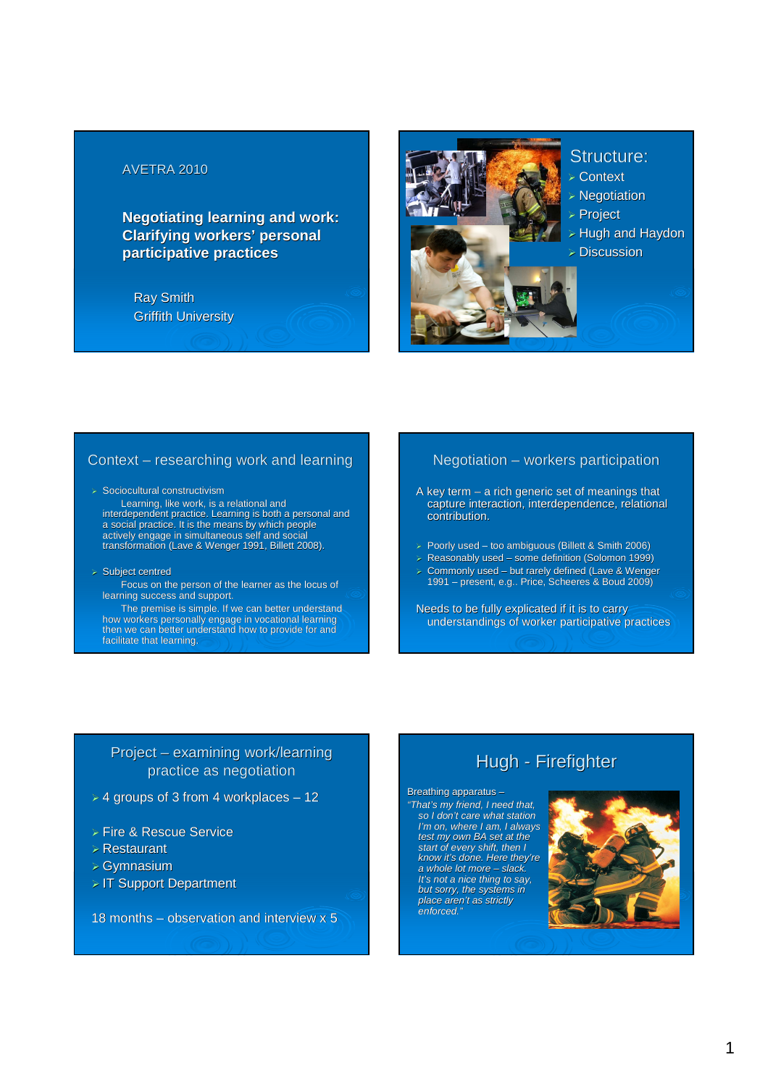### AVETRA 2010

**Negotiating learning and work: Clarifying workers' personal participative practices**

Ray Smith Griffith University



### Structure:

- 
- > Hugh and Haydon

#### Context – researching work and learning

- $>$  Sociocultural constructivism Learning, like work, is a relational and interdependent practice. Learning is both a personal and a social practice. It is the means by which people actively engage in simultaneous self and social transformation (Lave & Wenger 1991, Billett 2008).
- > Subject centred
	- Focus on the person of the learner as the locus of learning success and support.

The premise is simple. If we can better understand how workers personally engage in vocational learning then we can better understand how to provide for and facilitate that learning.

# Negotiation – workers participation

- A key term a rich generic set of meanings that capture interaction, interdependence, relational contribution.
- > Poorly used too ambiguous (Billett & Smith 2006)
- $\triangleright$  Reasonably used some definition (Solomon 1999)
- Commonly used but rarely defined (Lave & Wenger 1991 – present, e.g.. Price, Scheeres & Boud 2009)

Needs to be fully explicated if it is to carry understandings of worker participative practices

# Project – examining work/learning practice as negotiation

- $>$  4 groups of 3 from 4 workplaces 12
- Fire & Rescue Service
- Restaurant
- Gymnasium
- > IT Support Department

18 months – observation and interview x 5

# Hugh - Firefighter

#### Breathing apparatus –

"That's my friend, I need that, so I don't care what station I'm on, where I am, I always test my own BA set at the start of every shift, then I know it's done. Here they're a whole lot more – slack. It's not a nice thing to say, but sorry, the systems in place aren't as strictly enforced."